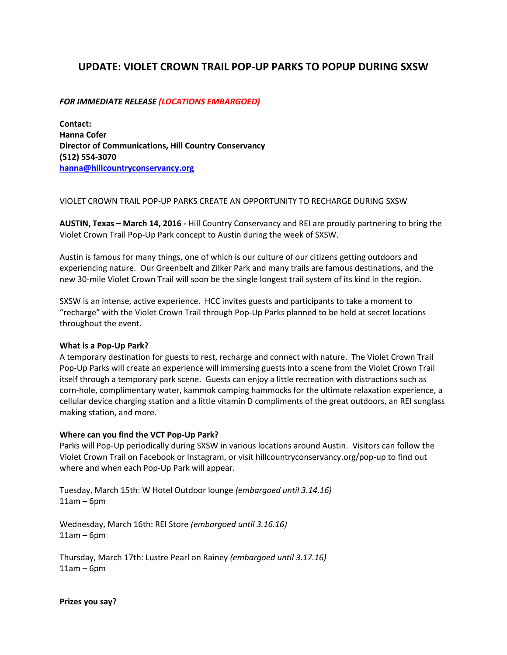# **UPDATE: VIOLET CROWN TRAIL POP-UP PARKS TO POPUP DURING SXSW**

# *FOR IMMEDIATE RELEASE (LOCATIONS EMBARGOED)*

**Contact: Hanna Cofer Director of Communications, Hill Country Conservancy (512) 554-3070 [hanna@hillcountryconservancy.org](mailto:hanna@hillcountryconservancy.org)**

## VIOLET CROWN TRAIL POP-UP PARKS CREATE AN OPPORTUNITY TO RECHARGE DURING SXSW

**AUSTIN, Texas – March 14, 2016 -** Hill Country Conservancy and REI are proudly partnering to bring the Violet Crown Trail Pop-Up Park concept to Austin during the week of SXSW.

Austin is famous for many things, one of which is our culture of our citizens getting outdoors and experiencing nature. Our Greenbelt and Zilker Park and many trails are famous destinations, and the new 30-mile Violet Crown Trail will soon be the single longest trail system of its kind in the region.

SXSW is an intense, active experience. HCC invites guests and participants to take a moment to "recharge" with the Violet Crown Trail through Pop-Up Parks planned to be held at secret locations throughout the event.

### **What is a Pop-Up Park?**

A temporary destination for guests to rest, recharge and connect with nature. The Violet Crown Trail Pop-Up Parks will create an experience will immersing guests into a scene from the Violet Crown Trail itself through a temporary park scene. Guests can enjoy a little recreation with distractions such as corn-hole, complimentary water, kammok camping hammocks for the ultimate relaxation experience, a cellular device charging station and a little vitamin D compliments of the great outdoors, an REI sunglass making station, and more.

### **Where can you find the VCT Pop-Up Park?**

Parks will Pop-Up periodically during SXSW in various locations around Austin. Visitors can follow the Violet Crown Trail on Facebook or Instagram, or visit hillcountryconservancy.org/pop-up to find out where and when each Pop-Up Park will appear.

Tuesday, March 15th: W Hotel Outdoor lounge *(embargoed until 3.14.16)* 11am – 6pm

Wednesday, March 16th: REI Store *(embargoed until 3.16.16)*  $11$ am – 6pm

Thursday, March 17th: Lustre Pearl on Rainey *(embargoed until 3.17.16)*  $11am - 6pm$ 

**Prizes you say?**